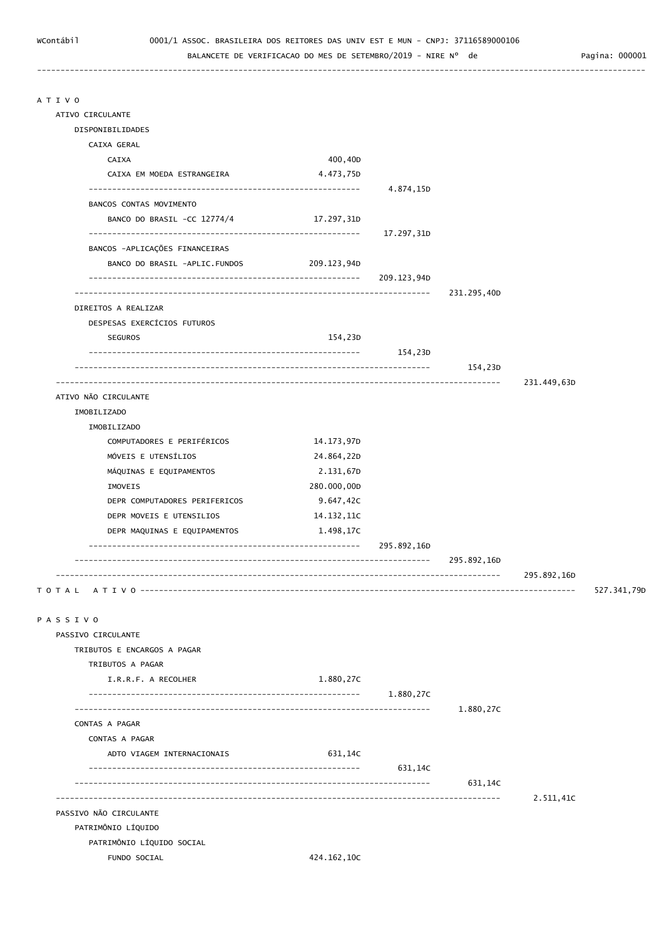----------------------------------------------------------------------------------------------------------------------------------

BALANCETE DE VERIFICACAO DO MES DE SETEMBRO/2019 - NIRE Nº de Pagina: 000001

| ATIVO CIRCULANTE               |             |             |             |             |             |
|--------------------------------|-------------|-------------|-------------|-------------|-------------|
| DISPONIBILIDADES               |             |             |             |             |             |
| CAIXA GERAL                    |             |             |             |             |             |
| CAIXA                          | 400,40D     |             |             |             |             |
| CAIXA EM MOEDA ESTRANGEIRA     | 4.473,75D   |             |             |             |             |
|                                |             | 4.874,15D   |             |             |             |
| BANCOS CONTAS MOVIMENTO        |             |             |             |             |             |
| BANCO DO BRASIL -CC 12774/4    | 17.297,31D  | 17.297,31D  |             |             |             |
| BANCOS -APLICAÇÕES FINANCEIRAS |             |             |             |             |             |
| BANCO DO BRASIL -APLIC.FUNDOS  | 209.123,94D |             |             |             |             |
|                                |             | 209.123,94D |             |             |             |
| DIREITOS A REALIZAR            |             |             | 231.295,40D |             |             |
| DESPESAS EXERCÍCIOS FUTUROS    |             |             |             |             |             |
| <b>SEGUROS</b>                 | 154,23D     |             |             |             |             |
|                                |             | 154,23D     |             |             |             |
|                                |             |             | 154,23D     |             |             |
|                                |             |             |             | 231.449,63D |             |
| ATIVO NÃO CIRCULANTE           |             |             |             |             |             |
| IMOBILIZADO                    |             |             |             |             |             |
| IMOBILIZADO                    |             |             |             |             |             |
| COMPUTADORES E PERIFÉRICOS     | 14.173,97D  |             |             |             |             |
| MÓVEIS E UTENSÍLIOS            | 24.864,22D  |             |             |             |             |
| MÁQUINAS E EQUIPAMENTOS        | 2.131,67D   |             |             |             |             |
| IMOVEIS                        | 280.000,00D |             |             |             |             |
| DEPR COMPUTADORES PERIFERICOS  | 9.647,42C   |             |             |             |             |
| DEPR MOVEIS E UTENSILIOS       | 14.132,11C  |             |             |             |             |
| DEPR MAQUINAS E EQUIPAMENTOS   | 1.498,17C   |             |             |             |             |
|                                |             | 295.892,16D |             |             |             |
|                                |             |             | 295.892,16D |             |             |
|                                |             |             |             | 295.892,16D | 527.341,790 |
|                                |             |             |             |             |             |
| PASSIVO                        |             |             |             |             |             |
| PASSIVO CIRCULANTE             |             |             |             |             |             |
| TRIBUTOS E ENCARGOS A PAGAR    |             |             |             |             |             |
| TRIBUTOS A PAGAR               |             |             |             |             |             |
| I.R.R.F. A RECOLHER            | 1.880,27C   |             |             |             |             |
|                                |             | 1.880,27C   |             |             |             |
| CONTAS A PAGAR                 |             |             | 1.880,27C   |             |             |
| CONTAS A PAGAR                 |             |             |             |             |             |
| ADTO VIAGEM INTERNACIONAIS     | 631,14C     |             |             |             |             |
|                                |             | 631,14C     |             |             |             |
|                                |             |             | 631,14C     |             |             |
|                                |             |             |             | 2.511,41C   |             |
| PASSIVO NÃO CIRCULANTE         |             |             |             |             |             |
| PATRIMÔNIO LÍQUIDO             |             |             |             |             |             |
| PATRIMÔNIO LÍQUIDO SOCIAL      |             |             |             |             |             |
| FUNDO SOCIAL                   | 424.162,10C |             |             |             |             |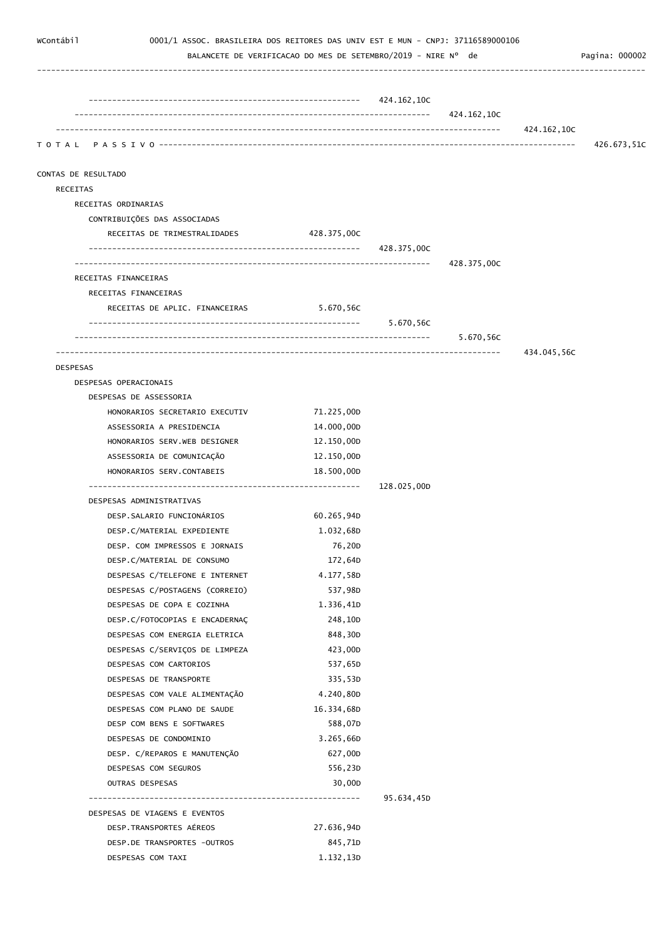| WContábil<br>0001/1 ASSOC. BRASILEIRA DOS REITORES DAS UNIV EST E MUN - CNPJ: 37116589000106 | BALANCETE DE VERIFICACAO DO MES DE SETEMBRO/2019 - NIRE Nº de |             |             |             | Pagina: 000002 |
|----------------------------------------------------------------------------------------------|---------------------------------------------------------------|-------------|-------------|-------------|----------------|
|                                                                                              |                                                               |             |             |             |                |
|                                                                                              |                                                               |             |             |             |                |
|                                                                                              |                                                               |             | 424.162,10C |             |                |
|                                                                                              |                                                               |             |             | 424.162,10C | 426.673,51C    |
| CONTAS DE RESULTADO                                                                          |                                                               |             |             |             |                |
| RECEITAS                                                                                     |                                                               |             |             |             |                |
| RECEITAS ORDINARIAS                                                                          |                                                               |             |             |             |                |
| CONTRIBUIÇÕES DAS ASSOCIADAS                                                                 |                                                               |             |             |             |                |
| RECEITAS DE TRIMESTRALIDADES                                                                 | 428.375,00C                                                   |             |             |             |                |
|                                                                                              |                                                               | 428.375,00C |             |             |                |
|                                                                                              |                                                               |             | 428.375,00C |             |                |
| RECEITAS FINANCEIRAS                                                                         |                                                               |             |             |             |                |
| RECEITAS FINANCEIRAS                                                                         |                                                               |             |             |             |                |
| RECEITAS DE APLIC. FINANCEIRAS                                                               | 5.670,56C                                                     |             |             |             |                |
|                                                                                              |                                                               |             |             |             |                |
|                                                                                              |                                                               |             | 5.670,56C   |             |                |
|                                                                                              |                                                               |             |             | 434.045,56C |                |
| <b>DESPESAS</b><br>DESPESAS OPERACIONAIS                                                     |                                                               |             |             |             |                |
| DESPESAS DE ASSESSORIA                                                                       |                                                               |             |             |             |                |
| HONORARIOS SECRETARIO EXECUTIV                                                               | 71.225,00D                                                    |             |             |             |                |
| ASSESSORIA A PRESIDENCIA                                                                     | 14.000,00D                                                    |             |             |             |                |
| HONORARIOS SERV.WEB DESIGNER                                                                 | 12.150,00D                                                    |             |             |             |                |
| ASSESSORIA DE COMUNICAÇÃO                                                                    | 12.150,00D                                                    |             |             |             |                |
| HONORARIOS SERV.CONTABEIS                                                                    | 18.500,00D                                                    |             |             |             |                |
|                                                                                              |                                                               | 128.025,00D |             |             |                |
| DESPESAS ADMINISTRATIVAS                                                                     |                                                               |             |             |             |                |
| DESP.SALARIO FUNCIONÁRIOS                                                                    | 60.265,94D                                                    |             |             |             |                |
| DESP.C/MATERIAL EXPEDIENTE                                                                   | 1.032,68D                                                     |             |             |             |                |
| DESP. COM IMPRESSOS E JORNAIS                                                                | 76,20D                                                        |             |             |             |                |
| DESP.C/MATERIAL DE CONSUMO                                                                   | 172,64D                                                       |             |             |             |                |
| DESPESAS C/TELEFONE E INTERNET                                                               | 4.177,58D                                                     |             |             |             |                |
| DESPESAS C/POSTAGENS (CORREIO)                                                               | 537,98D                                                       |             |             |             |                |
| DESPESAS DE COPA E COZINHA                                                                   | 1.336,41D                                                     |             |             |             |                |
| DESP.C/FOTOCOPIAS E ENCADERNAÇ                                                               | 248,10D                                                       |             |             |             |                |
| DESPESAS COM ENERGIA ELETRICA                                                                | 848,30D                                                       |             |             |             |                |
| DESPESAS C/SERVIÇOS DE LIMPEZA                                                               | 423,00D                                                       |             |             |             |                |
| DESPESAS COM CARTORIOS                                                                       | 537,65D                                                       |             |             |             |                |
| DESPESAS DE TRANSPORTE                                                                       | 335,53D                                                       |             |             |             |                |
| DESPESAS COM VALE ALIMENTAÇÃO                                                                | 4.240,80D                                                     |             |             |             |                |
| DESPESAS COM PLANO DE SAUDE                                                                  | 16.334,68D                                                    |             |             |             |                |
| DESP COM BENS E SOFTWARES                                                                    | 588,07D                                                       |             |             |             |                |
| DESPESAS DE CONDOMINIO                                                                       | 3.265,66D                                                     |             |             |             |                |
| DESP. C/REPAROS E MANUTENÇÃO                                                                 | 627,00D                                                       |             |             |             |                |
| DESPESAS COM SEGUROS                                                                         | 556,23D                                                       |             |             |             |                |
| OUTRAS DESPESAS                                                                              | 30,00D                                                        | 95.634,45D  |             |             |                |
| DESPESAS DE VIAGENS E EVENTOS                                                                |                                                               |             |             |             |                |
| DESP.TRANSPORTES AÉREOS                                                                      | 27.636,94D                                                    |             |             |             |                |
| DESP.DE TRANSPORTES -OUTROS                                                                  | 845,71D                                                       |             |             |             |                |
| DESPESAS COM TAXI                                                                            | 1.132,13D                                                     |             |             |             |                |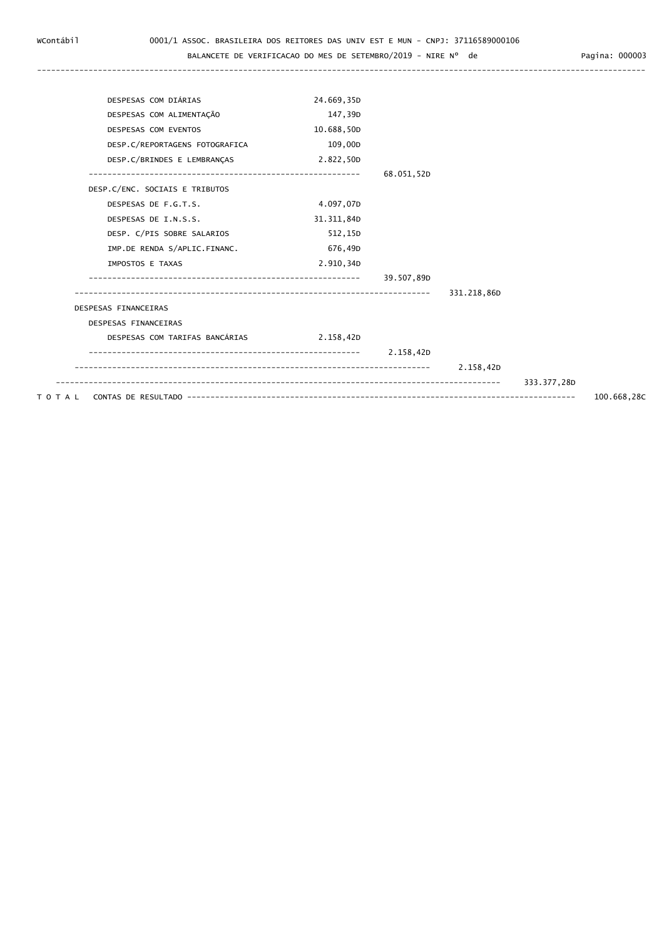## BALANCETE DE VERIFICACAO DO MES DE SETEMBRO/2019 - NIRE Nº de Pagina: 000003

| DESPESAS COM DIÁRIAS           | 24.669,35D |            |             |             |  |
|--------------------------------|------------|------------|-------------|-------------|--|
| DESPESAS COM ALIMENTAÇÃO       | 147,39D    |            |             |             |  |
| DESPESAS COM EVENTOS           | 10.688,50D |            |             |             |  |
| DESP.C/REPORTAGENS FOTOGRAFICA | 109,00D    |            |             |             |  |
| DESP.C/BRINDES E LEMBRANÇAS    | 2.822,50D  |            |             |             |  |
|                                |            | 68.051,52D |             |             |  |
| DESP.C/ENC. SOCIAIS E TRIBUTOS |            |            |             |             |  |
| DESPESAS DE F.G.T.S.           | 4.097,07D  |            |             |             |  |
| DESPESAS DE I.N.S.S.           | 31.311,84D |            |             |             |  |
| DESP. C/PIS SOBRE SALARIOS     | 512,15D    |            |             |             |  |
| IMP.DE RENDA S/APLIC.FINANC.   | 676,49D    |            |             |             |  |
| IMPOSTOS E TAXAS               | 2.910,34D  |            |             |             |  |
|                                |            | 39.507,89D |             |             |  |
|                                |            |            | 331.218,86D |             |  |
| DESPESAS FINANCEIRAS           |            |            |             |             |  |
| DESPESAS FINANCEIRAS           |            |            |             |             |  |
| DESPESAS COM TARIFAS BANCÁRIAS | 2.158,42D  |            |             |             |  |
|                                |            | 2.158,42D  |             |             |  |
|                                |            |            | 2.158,42D   |             |  |
|                                |            |            |             | 333.377,28D |  |